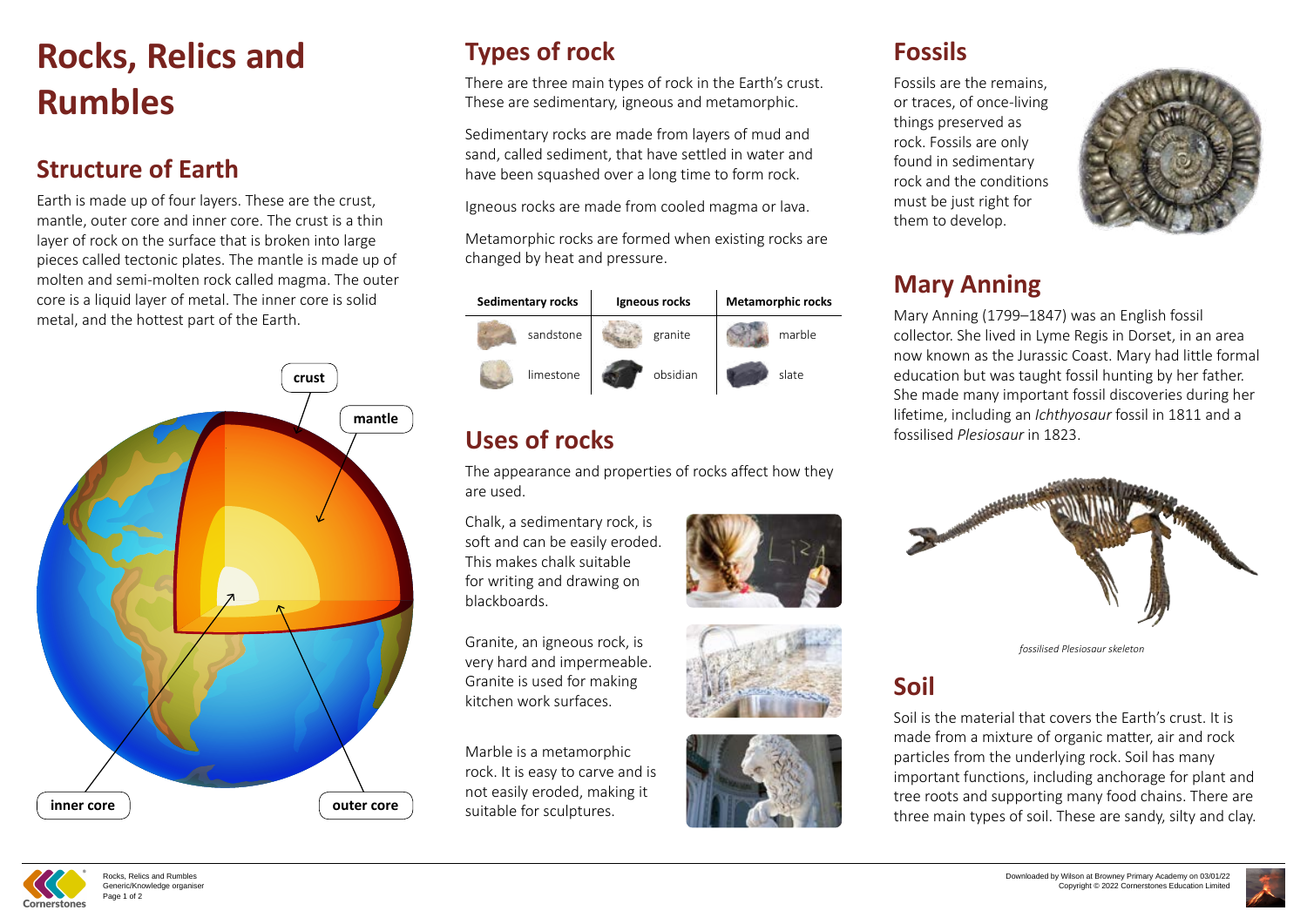# **Rocks, Relics and Rumbles**

#### **Structure of Earth**

Earth is made up of four layers. These are the crust, mantle, outer core and inner core. The crust is a thin layer of rock on the surface that is broken into large pieces called tectonic plates. The mantle is made up of molten and semi-molten rock called magma. The outer core is a liquid layer of metal. The inner core is solid metal, and the hottest part of the Earth.

## **Fossils**

Fossils are the remains, or traces, of once-living things preserved as rock. Fossils are only found in sedimentary rock and the conditions must be just right for them to develop.

## **Mary Anning**

Mary Anning (1799–1847) was an English fossil collector. She lived in Lyme Regis in Dorset, in an area now known as the Jurassic Coast. Mary had little formal education but was taught fossil hunting by her father. She made many important fossil discoveries during her lifetime, including an *Ichthyosaur* fossil in 1811 and a fossilised *Plesiosaur* in 1823.



*fossilised Plesiosaur skeleton*

### **Soil**

Soil is the material that covers the Earth's crust. It is made from a mixture of organic matter, air and rock particles from the underlying rock. Soil has many important functions, including anchorage for plant and tree roots and supporting many food chains. There are three main types of soil. These are sandy, silty and clay.





# **Types of rock**

There are three main types of rock in the Earth's crust. These are sedimentary, igneous and metamorphic.

Sedimentary rocks are made from layers of mud and sand, called sediment, that have settled in water and have been squashed over a long time to form rock.

Igneous rocks are made from cooled magma or lava.

Metamorphic rocks are formed when existing rocks are changed by heat and pressure.





# **Uses of rocks**

The appearance and properties of rocks affect how they are used.

Chalk, a sedimentary rock, is soft and can be easily eroded This makes chalk suitable for writing and drawing on blackboards.

Granite, an igneous rock, is very hard and impermeable. Granite is used for making kitchen work surfaces.

Marble is a metamorphic rock. It is easy to carve and is not easily eroded, making it suitable for sculptures.